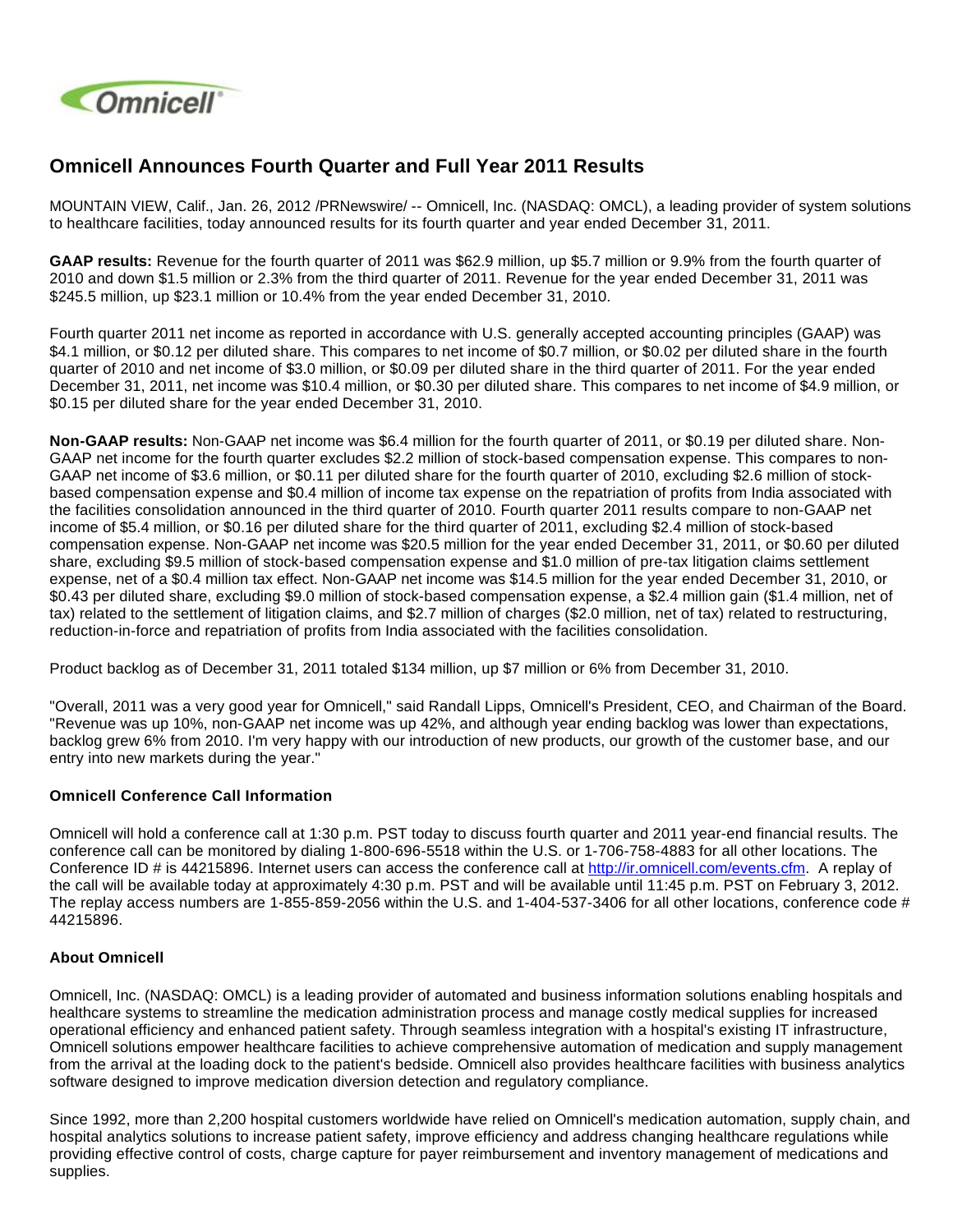

# **Omnicell Announces Fourth Quarter and Full Year 2011 Results**

MOUNTAIN VIEW, Calif., Jan. 26, 2012 /PRNewswire/ -- Omnicell, Inc. (NASDAQ: OMCL), a leading provider of system solutions to healthcare facilities, today announced results for its fourth quarter and year ended December 31, 2011.

**GAAP results:** Revenue for the fourth quarter of 2011 was \$62.9 million, up \$5.7 million or 9.9% from the fourth quarter of 2010 and down \$1.5 million or 2.3% from the third quarter of 2011. Revenue for the year ended December 31, 2011 was \$245.5 million, up \$23.1 million or 10.4% from the year ended December 31, 2010.

Fourth quarter 2011 net income as reported in accordance with U.S. generally accepted accounting principles (GAAP) was \$4.1 million, or \$0.12 per diluted share. This compares to net income of \$0.7 million, or \$0.02 per diluted share in the fourth quarter of 2010 and net income of \$3.0 million, or \$0.09 per diluted share in the third quarter of 2011. For the year ended December 31, 2011, net income was \$10.4 million, or \$0.30 per diluted share. This compares to net income of \$4.9 million, or \$0.15 per diluted share for the year ended December 31, 2010.

**Non-GAAP results:** Non-GAAP net income was \$6.4 million for the fourth quarter of 2011, or \$0.19 per diluted share. Non-GAAP net income for the fourth quarter excludes \$2.2 million of stock-based compensation expense. This compares to non-GAAP net income of \$3.6 million, or \$0.11 per diluted share for the fourth quarter of 2010, excluding \$2.6 million of stockbased compensation expense and \$0.4 million of income tax expense on the repatriation of profits from India associated with the facilities consolidation announced in the third quarter of 2010. Fourth quarter 2011 results compare to non-GAAP net income of \$5.4 million, or \$0.16 per diluted share for the third quarter of 2011, excluding \$2.4 million of stock-based compensation expense. Non-GAAP net income was \$20.5 million for the year ended December 31, 2011, or \$0.60 per diluted share, excluding \$9.5 million of stock-based compensation expense and \$1.0 million of pre-tax litigation claims settlement expense, net of a \$0.4 million tax effect. Non-GAAP net income was \$14.5 million for the year ended December 31, 2010, or \$0.43 per diluted share, excluding \$9.0 million of stock-based compensation expense, a \$2.4 million gain (\$1.4 million, net of tax) related to the settlement of litigation claims, and \$2.7 million of charges (\$2.0 million, net of tax) related to restructuring, reduction-in-force and repatriation of profits from India associated with the facilities consolidation.

Product backlog as of December 31, 2011 totaled \$134 million, up \$7 million or 6% from December 31, 2010.

"Overall, 2011 was a very good year for Omnicell," said Randall Lipps, Omnicell's President, CEO, and Chairman of the Board. "Revenue was up 10%, non-GAAP net income was up 42%, and although year ending backlog was lower than expectations, backlog grew 6% from 2010. I'm very happy with our introduction of new products, our growth of the customer base, and our entry into new markets during the year."

## **Omnicell Conference Call Information**

Omnicell will hold a conference call at 1:30 p.m. PST today to discuss fourth quarter and 2011 year-end financial results. The conference call can be monitored by dialing 1-800-696-5518 within the U.S. or 1-706-758-4883 for all other locations. The Conference ID # is 44215896. Internet users can access the conference call at [http://ir.omnicell.com/events.cfm.](http://ir.omnicell.com/events.cfm) A replay of the call will be available today at approximately 4:30 p.m. PST and will be available until 11:45 p.m. PST on February 3, 2012. The replay access numbers are 1-855-859-2056 within the U.S. and 1-404-537-3406 for all other locations, conference code # 44215896.

## **About Omnicell**

Omnicell, Inc. (NASDAQ: OMCL) is a leading provider of automated and business information solutions enabling hospitals and healthcare systems to streamline the medication administration process and manage costly medical supplies for increased operational efficiency and enhanced patient safety. Through seamless integration with a hospital's existing IT infrastructure, Omnicell solutions empower healthcare facilities to achieve comprehensive automation of medication and supply management from the arrival at the loading dock to the patient's bedside. Omnicell also provides healthcare facilities with business analytics software designed to improve medication diversion detection and regulatory compliance.

Since 1992, more than 2,200 hospital customers worldwide have relied on Omnicell's medication automation, supply chain, and hospital analytics solutions to increase patient safety, improve efficiency and address changing healthcare regulations while providing effective control of costs, charge capture for payer reimbursement and inventory management of medications and supplies.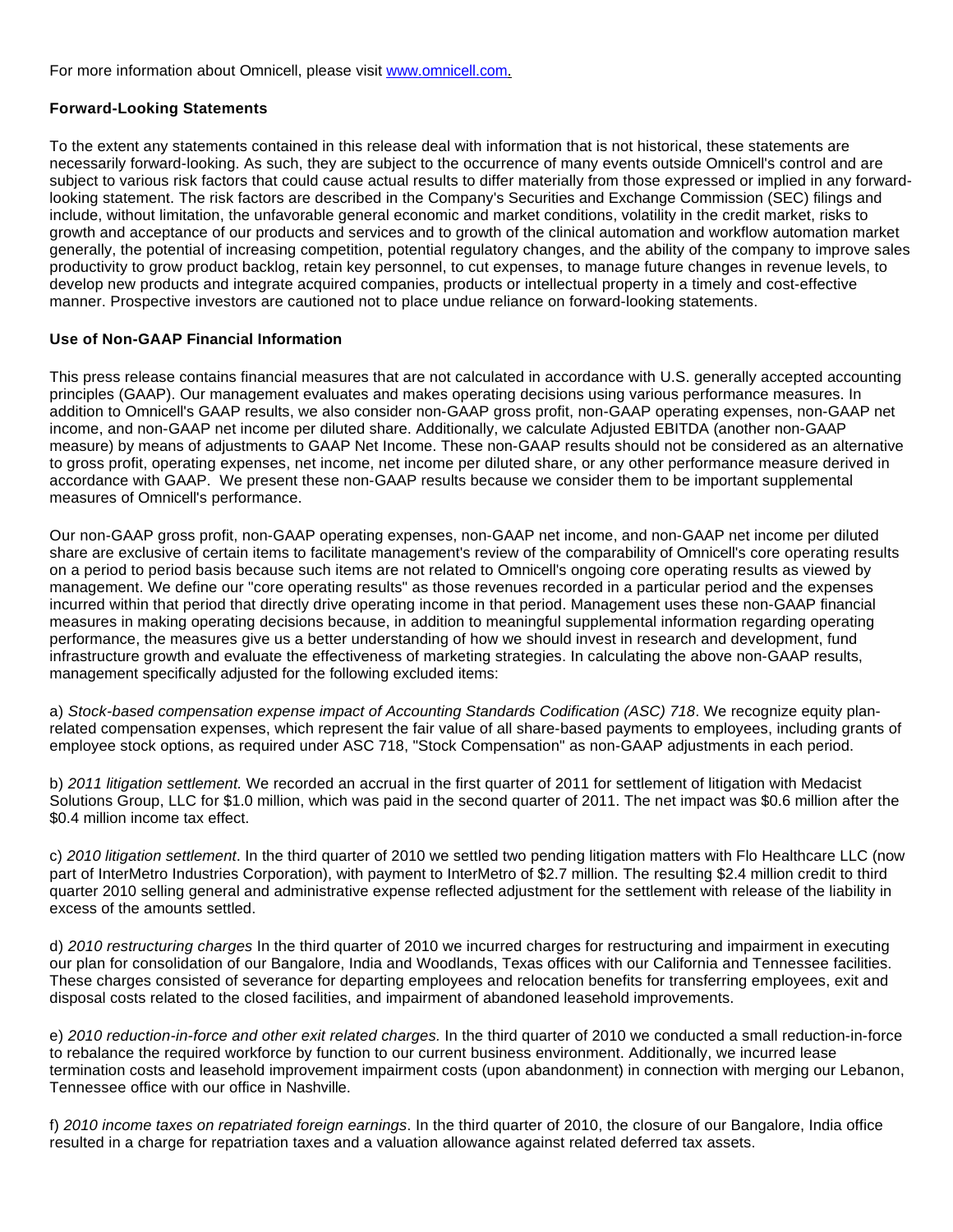For more information about Omnicell, please visit [www.omnicell.com](http://www.omnicell.com/).

# **Forward-Looking Statements**

To the extent any statements contained in this release deal with information that is not historical, these statements are necessarily forward-looking. As such, they are subject to the occurrence of many events outside Omnicell's control and are subject to various risk factors that could cause actual results to differ materially from those expressed or implied in any forwardlooking statement. The risk factors are described in the Company's Securities and Exchange Commission (SEC) filings and include, without limitation, the unfavorable general economic and market conditions, volatility in the credit market, risks to growth and acceptance of our products and services and to growth of the clinical automation and workflow automation market generally, the potential of increasing competition, potential regulatory changes, and the ability of the company to improve sales productivity to grow product backlog, retain key personnel, to cut expenses, to manage future changes in revenue levels, to develop new products and integrate acquired companies, products or intellectual property in a timely and cost-effective manner. Prospective investors are cautioned not to place undue reliance on forward-looking statements.

## **Use of Non-GAAP Financial Information**

This press release contains financial measures that are not calculated in accordance with U.S. generally accepted accounting principles (GAAP). Our management evaluates and makes operating decisions using various performance measures. In addition to Omnicell's GAAP results, we also consider non-GAAP gross profit, non-GAAP operating expenses, non-GAAP net income, and non-GAAP net income per diluted share. Additionally, we calculate Adjusted EBITDA (another non-GAAP measure) by means of adjustments to GAAP Net Income. These non-GAAP results should not be considered as an alternative to gross profit, operating expenses, net income, net income per diluted share, or any other performance measure derived in accordance with GAAP. We present these non-GAAP results because we consider them to be important supplemental measures of Omnicell's performance.

Our non-GAAP gross profit, non-GAAP operating expenses, non-GAAP net income, and non-GAAP net income per diluted share are exclusive of certain items to facilitate management's review of the comparability of Omnicell's core operating results on a period to period basis because such items are not related to Omnicell's ongoing core operating results as viewed by management. We define our "core operating results" as those revenues recorded in a particular period and the expenses incurred within that period that directly drive operating income in that period. Management uses these non-GAAP financial measures in making operating decisions because, in addition to meaningful supplemental information regarding operating performance, the measures give us a better understanding of how we should invest in research and development, fund infrastructure growth and evaluate the effectiveness of marketing strategies. In calculating the above non-GAAP results, management specifically adjusted for the following excluded items:

a) Stock-based compensation expense impact of Accounting Standards Codification (ASC) 718. We recognize equity planrelated compensation expenses, which represent the fair value of all share-based payments to employees, including grants of employee stock options, as required under ASC 718, "Stock Compensation" as non-GAAP adjustments in each period.

b) 2011 litigation settlement. We recorded an accrual in the first quarter of 2011 for settlement of litigation with Medacist Solutions Group, LLC for \$1.0 million, which was paid in the second quarter of 2011. The net impact was \$0.6 million after the \$0.4 million income tax effect.

c) 2010 litigation settlement. In the third quarter of 2010 we settled two pending litigation matters with Flo Healthcare LLC (now part of InterMetro Industries Corporation), with payment to InterMetro of \$2.7 million. The resulting \$2.4 million credit to third quarter 2010 selling general and administrative expense reflected adjustment for the settlement with release of the liability in excess of the amounts settled.

d) 2010 restructuring charges In the third quarter of 2010 we incurred charges for restructuring and impairment in executing our plan for consolidation of our Bangalore, India and Woodlands, Texas offices with our California and Tennessee facilities. These charges consisted of severance for departing employees and relocation benefits for transferring employees, exit and disposal costs related to the closed facilities, and impairment of abandoned leasehold improvements.

e) 2010 reduction-in-force and other exit related charges. In the third quarter of 2010 we conducted a small reduction-in-force to rebalance the required workforce by function to our current business environment. Additionally, we incurred lease termination costs and leasehold improvement impairment costs (upon abandonment) in connection with merging our Lebanon, Tennessee office with our office in Nashville.

f) 2010 income taxes on repatriated foreign earnings. In the third quarter of 2010, the closure of our Bangalore, India office resulted in a charge for repatriation taxes and a valuation allowance against related deferred tax assets.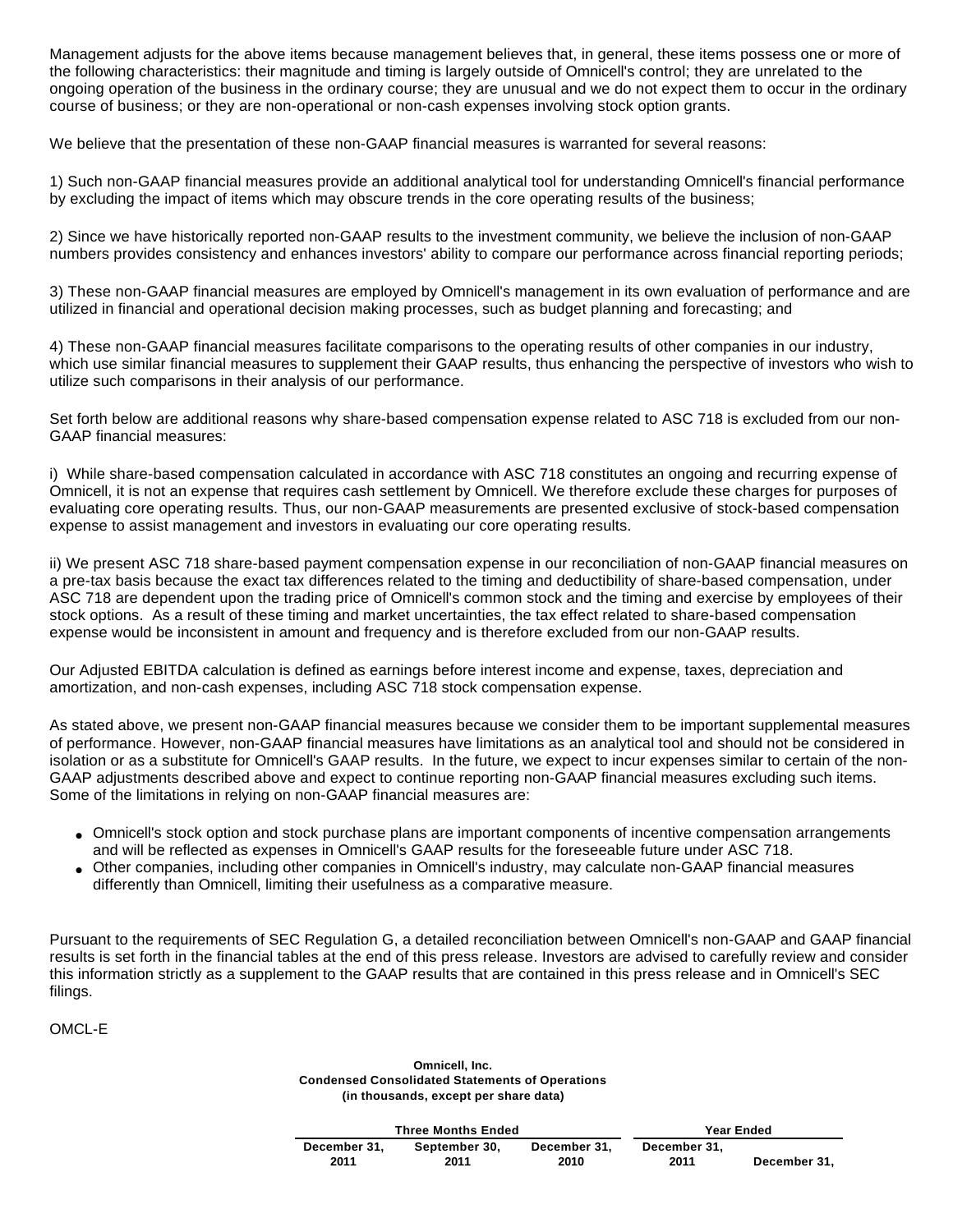Management adjusts for the above items because management believes that, in general, these items possess one or more of the following characteristics: their magnitude and timing is largely outside of Omnicell's control; they are unrelated to the ongoing operation of the business in the ordinary course; they are unusual and we do not expect them to occur in the ordinary course of business; or they are non-operational or non-cash expenses involving stock option grants.

We believe that the presentation of these non-GAAP financial measures is warranted for several reasons:

1) Such non-GAAP financial measures provide an additional analytical tool for understanding Omnicell's financial performance by excluding the impact of items which may obscure trends in the core operating results of the business;

2) Since we have historically reported non-GAAP results to the investment community, we believe the inclusion of non-GAAP numbers provides consistency and enhances investors' ability to compare our performance across financial reporting periods;

3) These non-GAAP financial measures are employed by Omnicell's management in its own evaluation of performance and are utilized in financial and operational decision making processes, such as budget planning and forecasting; and

4) These non-GAAP financial measures facilitate comparisons to the operating results of other companies in our industry, which use similar financial measures to supplement their GAAP results, thus enhancing the perspective of investors who wish to utilize such comparisons in their analysis of our performance.

Set forth below are additional reasons why share-based compensation expense related to ASC 718 is excluded from our non-GAAP financial measures:

i) While share-based compensation calculated in accordance with ASC 718 constitutes an ongoing and recurring expense of Omnicell, it is not an expense that requires cash settlement by Omnicell. We therefore exclude these charges for purposes of evaluating core operating results. Thus, our non-GAAP measurements are presented exclusive of stock-based compensation expense to assist management and investors in evaluating our core operating results.

ii) We present ASC 718 share-based payment compensation expense in our reconciliation of non-GAAP financial measures on a pre-tax basis because the exact tax differences related to the timing and deductibility of share-based compensation, under ASC 718 are dependent upon the trading price of Omnicell's common stock and the timing and exercise by employees of their stock options. As a result of these timing and market uncertainties, the tax effect related to share-based compensation expense would be inconsistent in amount and frequency and is therefore excluded from our non-GAAP results.

Our Adjusted EBITDA calculation is defined as earnings before interest income and expense, taxes, depreciation and amortization, and non-cash expenses, including ASC 718 stock compensation expense.

As stated above, we present non-GAAP financial measures because we consider them to be important supplemental measures of performance. However, non-GAAP financial measures have limitations as an analytical tool and should not be considered in isolation or as a substitute for Omnicell's GAAP results. In the future, we expect to incur expenses similar to certain of the non-GAAP adjustments described above and expect to continue reporting non-GAAP financial measures excluding such items. Some of the limitations in relying on non-GAAP financial measures are:

- Omnicell's stock option and stock purchase plans are important components of incentive compensation arrangements and will be reflected as expenses in Omnicell's GAAP results for the foreseeable future under ASC 718.
- Other companies, including other companies in Omnicell's industry, may calculate non-GAAP financial measures differently than Omnicell, limiting their usefulness as a comparative measure.

Pursuant to the requirements of SEC Regulation G, a detailed reconciliation between Omnicell's non-GAAP and GAAP financial results is set forth in the financial tables at the end of this press release. Investors are advised to carefully review and consider this information strictly as a supplement to the GAAP results that are contained in this press release and in Omnicell's SEC filings.

OMCL-E

### **Omnicell, Inc. Condensed Consolidated Statements of Operations (in thousands, except per share data)**

|              | <b>Three Months Ended</b> | <b>Year Ended</b> |              |              |  |
|--------------|---------------------------|-------------------|--------------|--------------|--|
| December 31. | September 30,             | December 31.      | December 31. |              |  |
| 2011         | 2011                      | 2010              | 2011         | December 31, |  |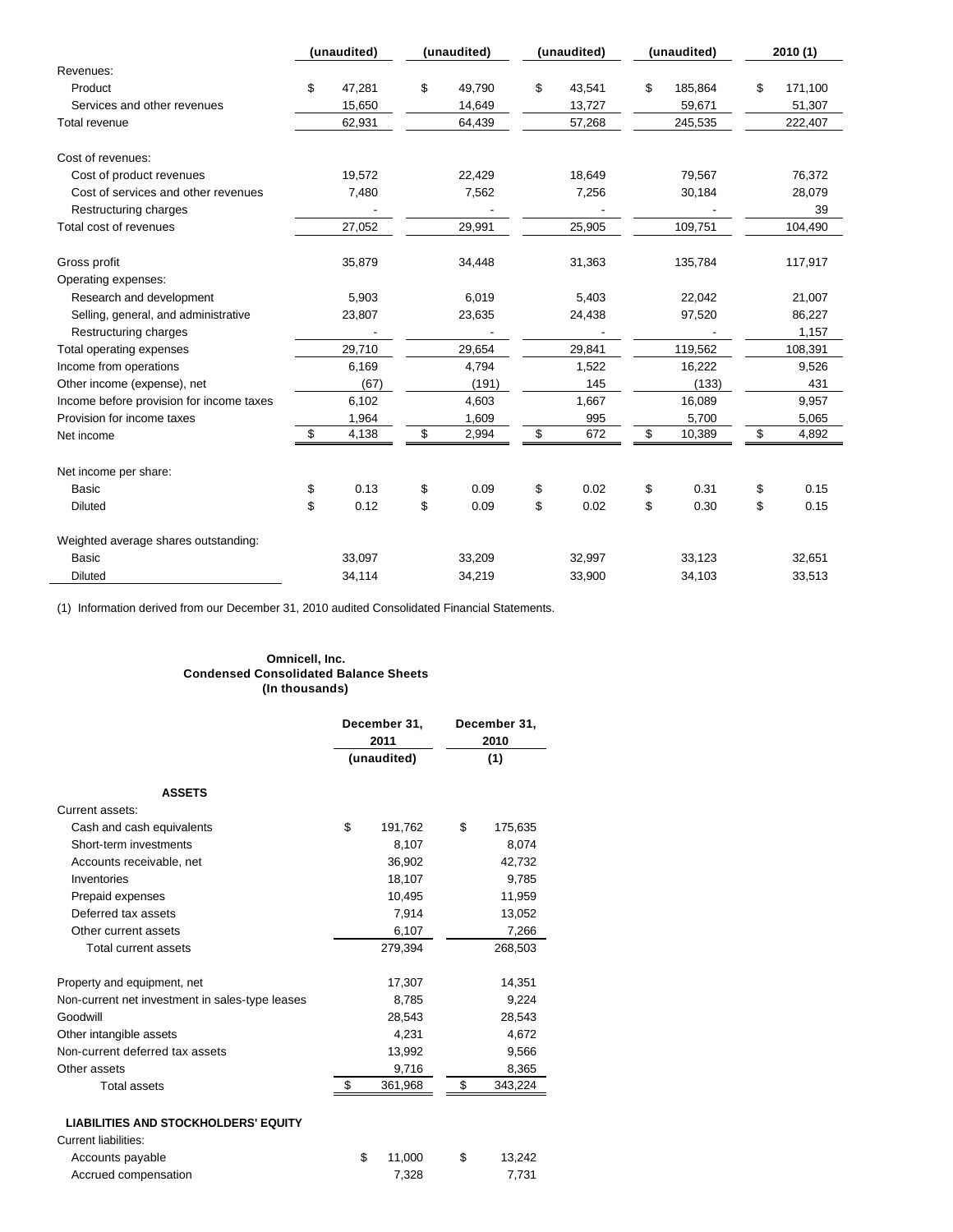|                                          | (unaudited) |        | (unaudited) |        | (unaudited) |        | (unaudited) |         | 2010 (1) |         |
|------------------------------------------|-------------|--------|-------------|--------|-------------|--------|-------------|---------|----------|---------|
| Revenues:                                |             |        |             |        |             |        |             |         |          |         |
| Product                                  | \$          | 47,281 | \$          | 49,790 | \$          | 43,541 | \$          | 185,864 | \$       | 171,100 |
| Services and other revenues              |             | 15,650 |             | 14,649 |             | 13,727 |             | 59,671  |          | 51,307  |
| Total revenue                            |             | 62,931 |             | 64,439 |             | 57,268 |             | 245,535 |          | 222,407 |
| Cost of revenues:                        |             |        |             |        |             |        |             |         |          |         |
| Cost of product revenues                 |             | 19,572 |             | 22,429 |             | 18,649 |             | 79,567  |          | 76,372  |
| Cost of services and other revenues      |             | 7,480  |             | 7,562  |             | 7,256  |             | 30,184  |          | 28,079  |
| Restructuring charges                    |             |        |             |        |             |        |             |         |          | 39      |
| Total cost of revenues                   |             | 27,052 |             | 29,991 |             | 25,905 |             | 109,751 |          | 104,490 |
| Gross profit                             |             | 35,879 |             | 34,448 |             | 31,363 |             | 135,784 |          | 117,917 |
| Operating expenses:                      |             |        |             |        |             |        |             |         |          |         |
| Research and development                 |             | 5,903  |             | 6,019  |             | 5,403  |             | 22,042  |          | 21,007  |
| Selling, general, and administrative     |             | 23,807 |             | 23,635 |             | 24,438 |             | 97,520  |          | 86,227  |
| Restructuring charges                    |             |        |             |        |             |        |             |         |          | 1,157   |
| Total operating expenses                 |             | 29,710 |             | 29,654 |             | 29,841 |             | 119,562 |          | 108,391 |
| Income from operations                   |             | 6,169  |             | 4,794  |             | 1,522  |             | 16,222  |          | 9,526   |
| Other income (expense), net              |             | (67)   |             | (191)  |             | 145    |             | (133)   |          | 431     |
| Income before provision for income taxes |             | 6,102  |             | 4,603  |             | 1,667  |             | 16,089  |          | 9,957   |
| Provision for income taxes               |             | 1,964  |             | 1,609  |             | 995    |             | 5,700   |          | 5,065   |
| Net income                               | \$          | 4,138  | \$          | 2,994  | \$          | 672    | \$          | 10,389  | \$       | 4,892   |
| Net income per share:                    |             |        |             |        |             |        |             |         |          |         |
| <b>Basic</b>                             | \$          | 0.13   | \$          | 0.09   | \$          | 0.02   | \$          | 0.31    | \$       | 0.15    |
| <b>Diluted</b>                           | \$          | 0.12   | \$          | 0.09   | \$          | 0.02   | \$          | 0.30    | \$       | 0.15    |
| Weighted average shares outstanding:     |             |        |             |        |             |        |             |         |          |         |
| <b>Basic</b>                             |             | 33,097 |             | 33,209 |             | 32,997 |             | 33,123  |          | 32,651  |
| <b>Diluted</b>                           |             | 34,114 |             | 34,219 |             | 33,900 |             | 34,103  |          | 33,513  |

(1) Information derived from our December 31, 2010 audited Consolidated Financial Statements.

#### **Omnicell, Inc. Condensed Consolidated Balance Sheets (In thousands)**

|                                                 |    | December 31,<br>2011 |    | December 31,<br>2010 |  |  |  |
|-------------------------------------------------|----|----------------------|----|----------------------|--|--|--|
|                                                 |    | (unaudited)          |    | (1)                  |  |  |  |
| <b>ASSETS</b>                                   |    |                      |    |                      |  |  |  |
| Current assets:                                 |    |                      |    |                      |  |  |  |
| Cash and cash equivalents                       | \$ | 191,762              | \$ | 175,635              |  |  |  |
| Short-term investments                          |    | 8.107                |    | 8,074                |  |  |  |
| Accounts receivable, net                        |    | 36,902               |    | 42,732               |  |  |  |
| Inventories                                     |    | 18,107               |    | 9,785                |  |  |  |
| Prepaid expenses                                |    | 10,495               |    | 11,959               |  |  |  |
| Deferred tax assets                             |    | 7,914                |    | 13,052               |  |  |  |
| Other current assets                            |    | 6,107                |    | 7,266                |  |  |  |
| Total current assets                            |    | 279,394              |    | 268,503              |  |  |  |
| Property and equipment, net                     |    | 17,307               |    | 14,351               |  |  |  |
| Non-current net investment in sales-type leases |    | 8,785                |    | 9,224                |  |  |  |
| Goodwill                                        |    | 28,543               |    | 28,543               |  |  |  |
| Other intangible assets                         |    | 4,231                |    | 4,672                |  |  |  |
| Non-current deferred tax assets                 |    | 13,992               |    | 9,566                |  |  |  |
| Other assets                                    |    | 9,716                |    | 8,365                |  |  |  |
| <b>Total assets</b>                             | \$ | 361,968              | \$ | 343,224              |  |  |  |
| <b>LIABILITIES AND STOCKHOLDERS' EQUITY</b>     |    |                      |    |                      |  |  |  |
| <b>Current liabilities:</b>                     |    |                      |    |                      |  |  |  |
| Accounte novable                                | ¢  | 11 NM                | ¢  | 12.212               |  |  |  |

| Accounts payable     | 11.000 | 13.242 |
|----------------------|--------|--------|
| Accrued compensation | 7.328  | 7.731  |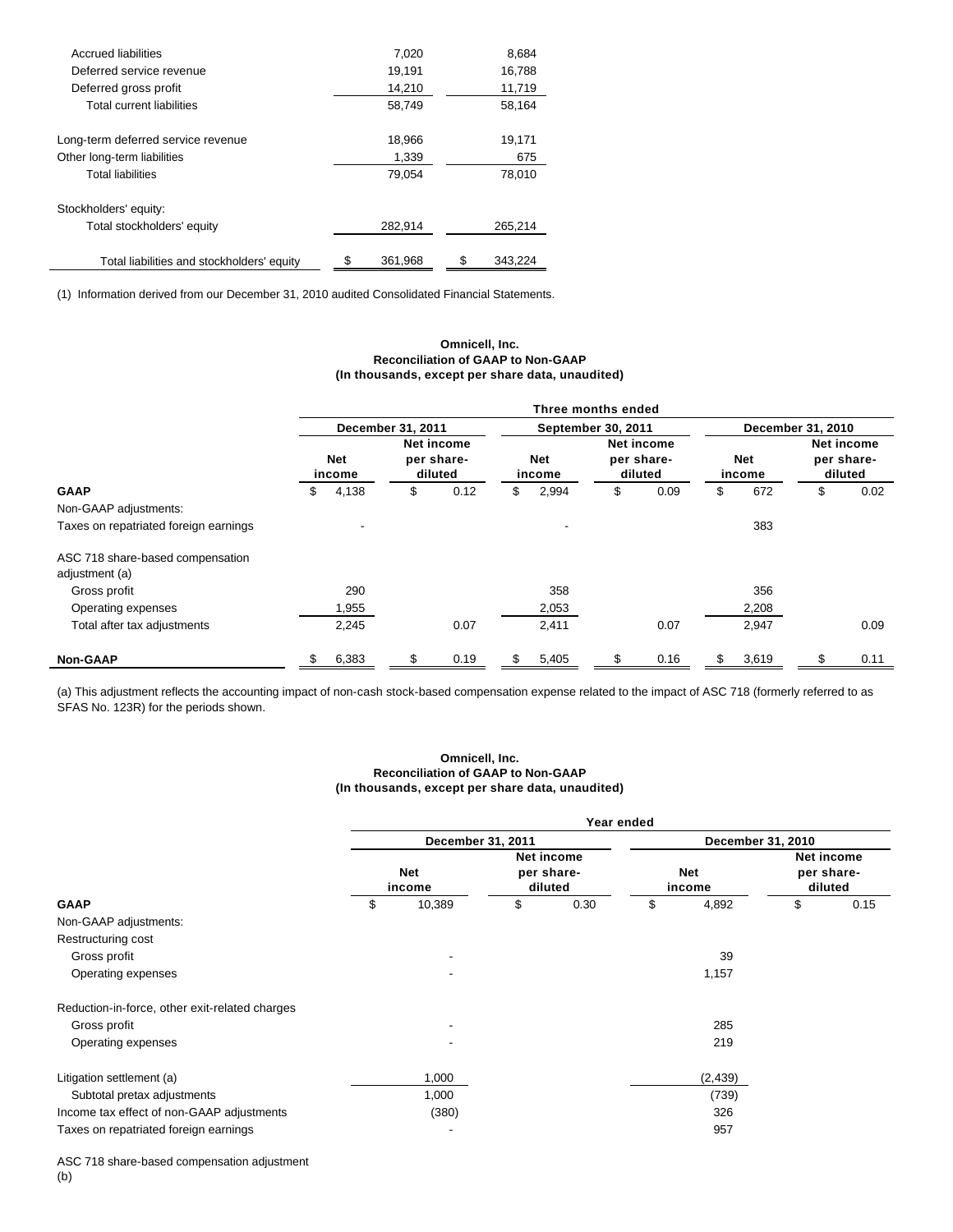| Accrued liabilities                        | 7.020   | 8,684   |
|--------------------------------------------|---------|---------|
| Deferred service revenue                   | 19.191  | 16,788  |
| Deferred gross profit                      | 14,210  | 11,719  |
| Total current liabilities                  | 58,749  | 58,164  |
| Long-term deferred service revenue         | 18,966  | 19,171  |
| Other long-term liabilities                | 1,339   | 675     |
| <b>Total liabilities</b>                   | 79.054  | 78,010  |
| Stockholders' equity:                      |         |         |
| Total stockholders' equity                 | 282,914 | 265,214 |
|                                            |         |         |
| Total liabilities and stockholders' equity | 361,968 | 343,224 |

(1) Information derived from our December 31, 2010 audited Consolidated Financial Statements.

### **Omnicell, Inc. Reconciliation of GAAP to Non-GAAP (In thousands, except per share data, unaudited)**

|                                                    | Three months ended |                      |                   |                                     |    |                    |    |                                     |                   |                      |    |                                     |
|----------------------------------------------------|--------------------|----------------------|-------------------|-------------------------------------|----|--------------------|----|-------------------------------------|-------------------|----------------------|----|-------------------------------------|
|                                                    |                    |                      | December 31, 2011 |                                     |    | September 30, 2011 |    |                                     | December 31, 2010 |                      |    |                                     |
|                                                    |                    | <b>Net</b><br>income |                   | Net income<br>per share-<br>diluted |    | Net<br>income      |    | Net income<br>per share-<br>diluted |                   | <b>Net</b><br>income |    | Net income<br>per share-<br>diluted |
| <b>GAAP</b>                                        | \$                 | 4,138                | \$                | 0.12                                | \$ | 2,994              | \$ | 0.09                                | \$                | 672                  | \$ | 0.02                                |
| Non-GAAP adjustments:                              |                    |                      |                   |                                     |    |                    |    |                                     |                   |                      |    |                                     |
| Taxes on repatriated foreign earnings              |                    |                      |                   |                                     |    |                    |    |                                     |                   | 383                  |    |                                     |
| ASC 718 share-based compensation<br>adjustment (a) |                    |                      |                   |                                     |    |                    |    |                                     |                   |                      |    |                                     |
| Gross profit                                       |                    | 290                  |                   |                                     |    | 358                |    |                                     |                   | 356                  |    |                                     |
| Operating expenses                                 |                    | 1,955                |                   |                                     |    | 2,053              |    |                                     |                   | 2,208                |    |                                     |
| Total after tax adjustments                        |                    | 2,245                |                   | 0.07                                |    | 2,411              |    | 0.07                                |                   | 2,947                |    | 0.09                                |
| <b>Non-GAAP</b>                                    | \$                 | 6,383                | \$                | 0.19                                | \$ | 5,405              | \$ | 0.16                                | \$                | 3,619                | \$ | 0.11                                |

(a) This adjustment reflects the accounting impact of non-cash stock-based compensation expense related to the impact of ASC 718 (formerly referred to as SFAS No. 123R) for the periods shown.

### **Omnicell, Inc. Reconciliation of GAAP to Non-GAAP (In thousands, except per share data, unaudited)**

|                                                | Year ended           |                   |                                     |      |                      |          |                                     |      |  |  |
|------------------------------------------------|----------------------|-------------------|-------------------------------------|------|----------------------|----------|-------------------------------------|------|--|--|
|                                                |                      | December 31, 2011 | December 31, 2010                   |      |                      |          |                                     |      |  |  |
|                                                | <b>Net</b><br>income |                   | Net income<br>per share-<br>diluted |      | <b>Net</b><br>income |          | Net income<br>per share-<br>diluted |      |  |  |
| <b>GAAP</b>                                    | \$                   | 10,389            | \$                                  | 0.30 | \$                   | 4,892    | \$                                  | 0.15 |  |  |
| Non-GAAP adjustments:                          |                      |                   |                                     |      |                      |          |                                     |      |  |  |
| Restructuring cost                             |                      |                   |                                     |      |                      |          |                                     |      |  |  |
| Gross profit                                   |                      | ٠                 |                                     |      |                      | 39       |                                     |      |  |  |
| Operating expenses                             |                      | ٠                 |                                     |      |                      | 1,157    |                                     |      |  |  |
| Reduction-in-force, other exit-related charges |                      |                   |                                     |      |                      |          |                                     |      |  |  |
| Gross profit                                   |                      | ٠                 |                                     |      |                      | 285      |                                     |      |  |  |
| Operating expenses                             |                      | ٠                 |                                     |      |                      | 219      |                                     |      |  |  |
| Litigation settlement (a)                      |                      | 1,000             |                                     |      |                      | (2, 439) |                                     |      |  |  |
| Subtotal pretax adjustments                    |                      | 1,000             |                                     |      |                      | (739)    |                                     |      |  |  |
| Income tax effect of non-GAAP adjustments      |                      | (380)             |                                     |      |                      | 326      |                                     |      |  |  |
| Taxes on repatriated foreign earnings          |                      | ٠                 |                                     |      | 957                  |          |                                     |      |  |  |

ASC 718 share-based compensation adjustment